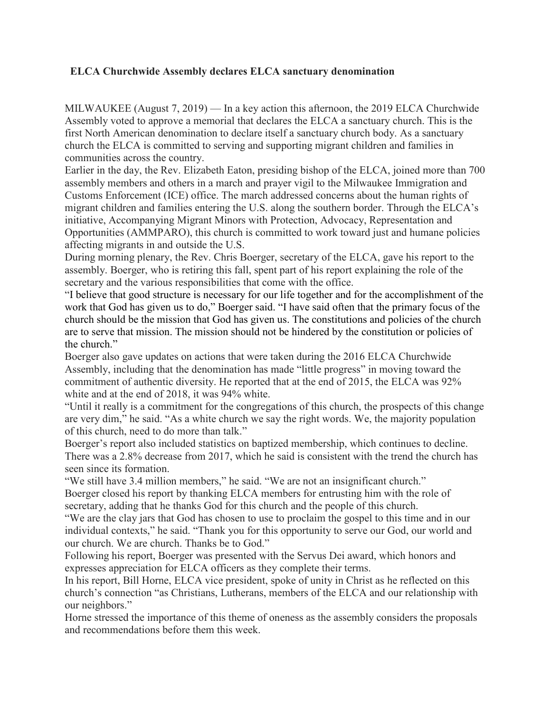## **ELCA Churchwide Assembly declares ELCA sanctuary denomination**

MILWAUKEE (August 7, 2019) — In a key action this afternoon, the 2019 ELCA Churchwide Assembly voted to approve a memorial that declares the ELCA a sanctuary church. This is the first North American denomination to declare itself a sanctuary church body. As a sanctuary church the ELCA is committed to serving and supporting migrant children and families in communities across the country.

Earlier in the day, the Rev. Elizabeth Eaton, presiding bishop of the ELCA, joined more than 700 assembly members and others in a march and prayer vigil to the Milwaukee Immigration and Customs Enforcement (ICE) office. The march addressed concerns about the human rights of migrant children and families entering the U.S. along the southern border. Through the ELCA's initiative, Accompanying Migrant Minors with Protection, Advocacy, Representation and Opportunities (AMMPARO), this church is committed to work toward just and humane policies affecting migrants in and outside the U.S.

During morning plenary, the Rev. Chris Boerger, secretary of the ELCA, gave his report to the assembly. Boerger, who is retiring this fall, spent part of his report explaining the role of the secretary and the various responsibilities that come with the office.

"I believe that good structure is necessary for our life together and for the accomplishment of the work that God has given us to do," Boerger said. "I have said often that the primary focus of the church should be the mission that God has given us. The constitutions and policies of the church are to serve that mission. The mission should not be hindered by the constitution or policies of the church."

Boerger also gave updates on actions that were taken during the 2016 ELCA Churchwide Assembly, including that the denomination has made "little progress" in moving toward the commitment of authentic diversity. He reported that at the end of 2015, the ELCA was 92% white and at the end of 2018, it was 94% white.

"Until it really is a commitment for the congregations of this church, the prospects of this change are very dim," he said. "As a white church we say the right words. We, the majority population of this church, need to do more than talk."

Boerger's report also included statistics on baptized membership, which continues to decline. There was a 2.8% decrease from 2017, which he said is consistent with the trend the church has seen since its formation.

"We still have 3.4 million members," he said. "We are not an insignificant church." Boerger closed his report by thanking ELCA members for entrusting him with the role of secretary, adding that he thanks God for this church and the people of this church.

"We are the clay jars that God has chosen to use to proclaim the gospel to this time and in our individual contexts," he said. "Thank you for this opportunity to serve our God, our world and our church. We are church. Thanks be to God."

Following his report, Boerger was presented with the Servus Dei award, which honors and expresses appreciation for ELCA officers as they complete their terms.

In his report, Bill Horne, ELCA vice president, spoke of unity in Christ as he reflected on this church's connection "as Christians, Lutherans, members of the ELCA and our relationship with our neighbors."

Horne stressed the importance of this theme of oneness as the assembly considers the proposals and recommendations before them this week.